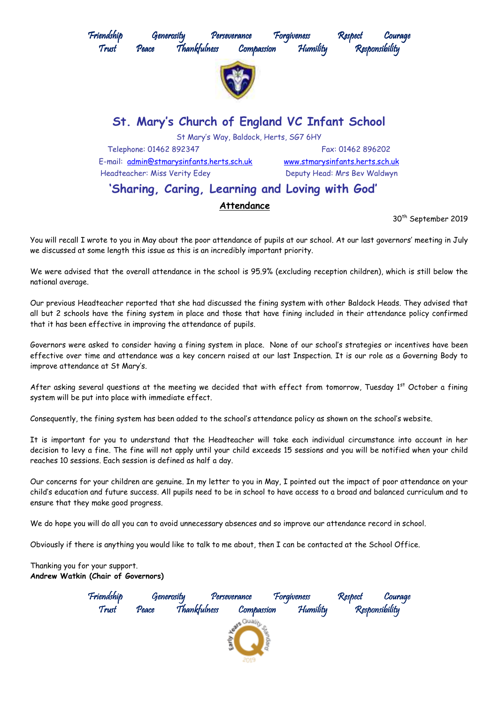

30<sup>th</sup> September 2019

You will recall I wrote to you in May about the poor attendance of pupils at our school. At our last governors' meeting in July we discussed at some length this issue as this is an incredibly important priority.

We were advised that the overall attendance in the school is 95.9% (excluding reception children), which is still below the national average.

Our previous Headteacher reported that she had discussed the fining system with other Baldock Heads. They advised that all but 2 schools have the fining system in place and those that have fining included in their attendance policy confirmed that it has been effective in improving the attendance of pupils.

Governors were asked to consider having a fining system in place. None of our school's strategies or incentives have been effective over time and attendance was a key concern raised at our last Inspection. It is our role as a Governing Body to improve attendance at St Mary's.

After asking several questions at the meeting we decided that with effect from tomorrow, Tuesday 1st October a fining system will be put into place with immediate effect.

Consequently, the fining system has been added to the school's attendance policy as shown on the school's website.

It is important for you to understand that the Headteacher will take each individual circumstance into account in her decision to levy a fine. The fine will not apply until your child exceeds 15 sessions and you will be notified when your child reaches 10 sessions. Each session is defined as half a day.

Our concerns for your children are genuine. In my letter to you in May, I pointed out the impact of poor attendance on your child's education and future success. All pupils need to be in school to have access to a broad and balanced curriculum and to ensure that they make good progress.

We do hope you will do all you can to avoid unnecessary absences and so improve our attendance record in school.

Obviously if there is anything you would like to talk to me about, then I can be contacted at the School Office.

## Thanking you for your support. **Andrew Watkin (Chair of Governors)**